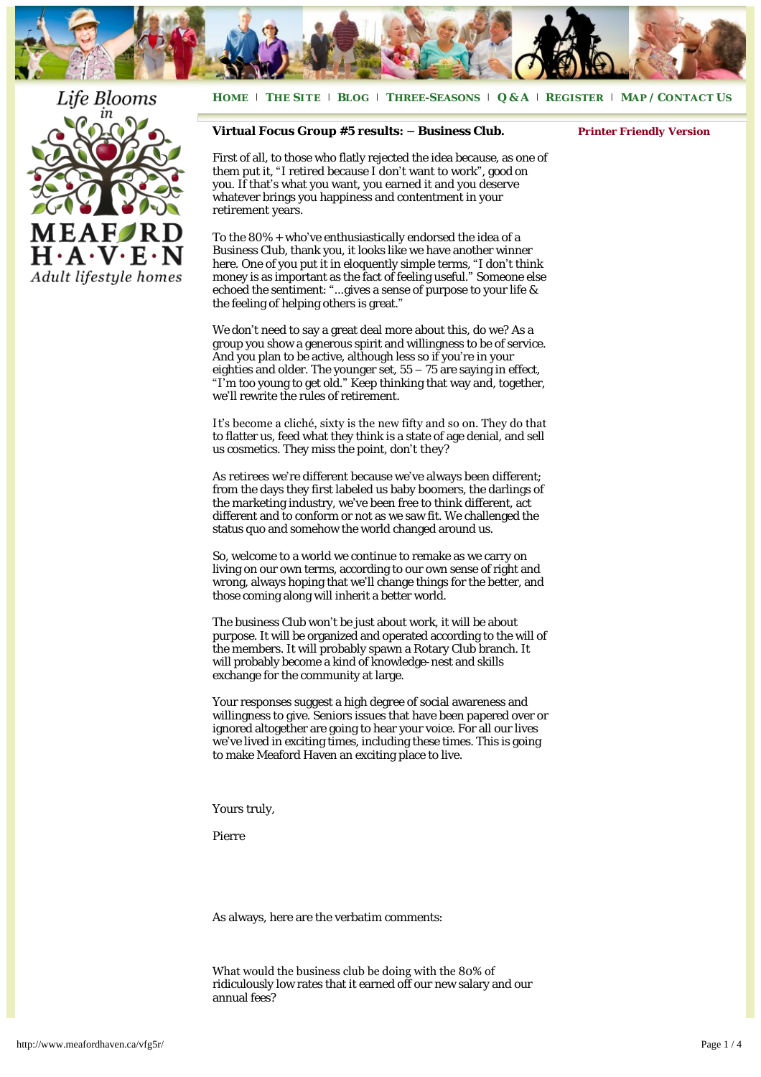

## Life Blooms



**H[OME](http://www.meafordhaven.ca/)** <sup>|</sup> **THE S[ITE](http://www.meafordhaven.ca/thesite)** <sup>|</sup> **B[LOG](http://www.meafordhaven.ca/lifestyle)** <sup>|</sup> **THREE-S[EASONS](http://www.meafordhaven.ca/three-seasons)** <sup>|</sup> **[Q & A](http://www.meafordhaven.ca/qa/)** <sup>|</sup> **R[EGISTER](http://www.meafordhaven.ca/register)** <sup>|</sup> **MAP / C[ONTACT](http://www.meafordhaven.ca/contact) US**

## **Virtual Focus Group #5 results: – Business Club.**

*[Printer Friendly Version](http://www.meafordhaven.ca/wp-content/uploads/2012/07/vfg5r.pdf)*

First of all, to those who flatly rejected the idea because, as one of them put it, "I retired because I don't want to work", good on you. If that's what you want, you earned it and you deserve whatever brings you happiness and contentment in your retirement years.

To the 80% + who've enthusiastically endorsed the idea of a Business Club, thank you, it looks like we have another winner here. One of you put it in eloquently simple terms, "I don't think money is as important as the fact of feeling useful." Someone else echoed the sentiment: "…gives a sense of purpose to your life & the feeling of helping others is great."

We don't need to say a great deal more about this, do we? As a group you show a generous spirit and willingness to be of service. And you plan to be active, although less so if you're in your eighties and older. The younger set, 55 – 75 are saying in effect, "I'm too young to get old." Keep thinking that way and, together, we'll rewrite the rules of retirement.

It's become a cliché, sixty is the new fifty and so on. They do that to flatter us, feed what they think is a state of age denial, and sell us cosmetics. They miss the point, don't they?

As retirees we're different because we've always been different; from the days they first labeled us baby boomers, the darlings of the marketing industry, we've been free to think different, act different and to conform or not as we saw fit. We challenged the status quo and somehow the world changed around us.

So, welcome to a world we continue to remake as we carry on living on our own terms, according to our own sense of right and wrong, always hoping that we'll change things for the better, and those coming along will inherit a better world.

The business Club won't be just about work, it will be about purpose. It will be organized and operated according to the will of the members. It will probably spawn a Rotary Club branch. It will probably become a kind of knowledge-nest and skills exchange for the community at large.

Your responses suggest a high degree of social awareness and willingness to give. Seniors issues that have been papered over or ignored altogether are going to hear your voice. For all our lives we've lived in exciting times, including these times. This is going to make Meaford Haven an exciting place to live.

Yours truly,

Pierre

As always, here are the verbatim comments:

What would the business club be doing with the 80% of ridiculously low rates that it earned off our new salary and our annual fees?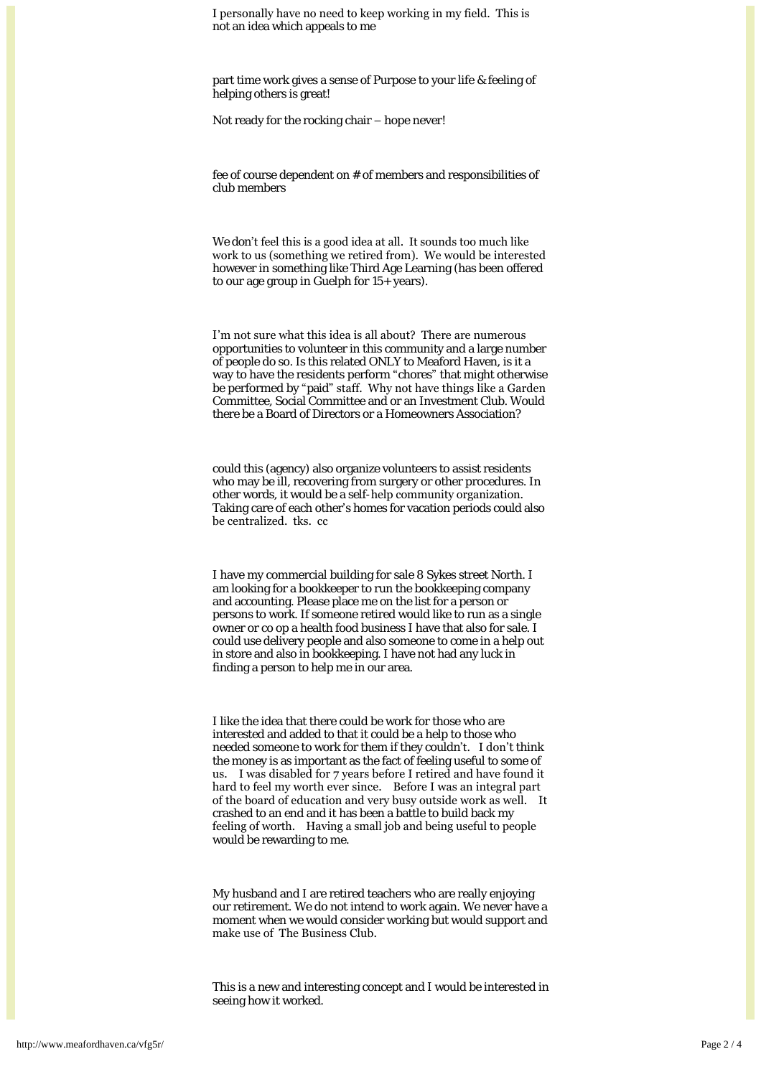I personally have no need to keep working in my field. This is not an idea which appeals to me

part time work gives a sense of Purpose to your life & feeling of helping others is great!

Not ready for the rocking chair – hope never!

fee of course dependent on # of members and responsibilities of club members

We don't feel this is a good idea at all. It sounds too much like work to us (something we retired from). We would be interested however in something like Third Age Learning (has been offered to our age group in Guelph for 15+ years).

I'm not sure what this idea is all about? There are numerous opportunities to volunteer in this community and a large number of people do so. Is this related ONLY to Meaford Haven, is it a way to have the residents perform "chores" that might otherwise be performed by "paid" staff. Why not have things like a Garden Committee, Social Committee and or an Investment Club. Would there be a Board of Directors or a Homeowners Association?

could this (agency) also organize volunteers to assist residents who may be ill, recovering from surgery or other procedures. In other words, it would be a self-help community organization. Taking care of each other's homes for vacation periods could also be centralized. tks. cc

I have my commercial building for sale 8 Sykes street North. I am looking for a bookkeeper to run the bookkeeping company and accounting. Please place me on the list for a person or persons to work. If someone retired would like to run as a single owner or co op a health food business I have that also for sale. I could use delivery people and also someone to come in a help out in store and also in bookkeeping. I have not had any luck in finding a person to help me in our area.

I like the idea that there could be work for those who are interested and added to that it could be a help to those who needed someone to work for them if they couldn't. I don't think the money is as important as the fact of feeling useful to some of us. I was disabled for 7 years before I retired and have found it hard to feel my worth ever since. Before I was an integral part of the board of education and very busy outside work as well. It crashed to an end and it has been a battle to build back my feeling of worth. Having a small job and being useful to people would be rewarding to me.

My husband and I are retired teachers who are really enjoying our retirement. We do not intend to work again. We never have a moment when we would consider working but would support and make use of The Business Club.

This is a new and interesting concept and I would be interested in seeing how it worked.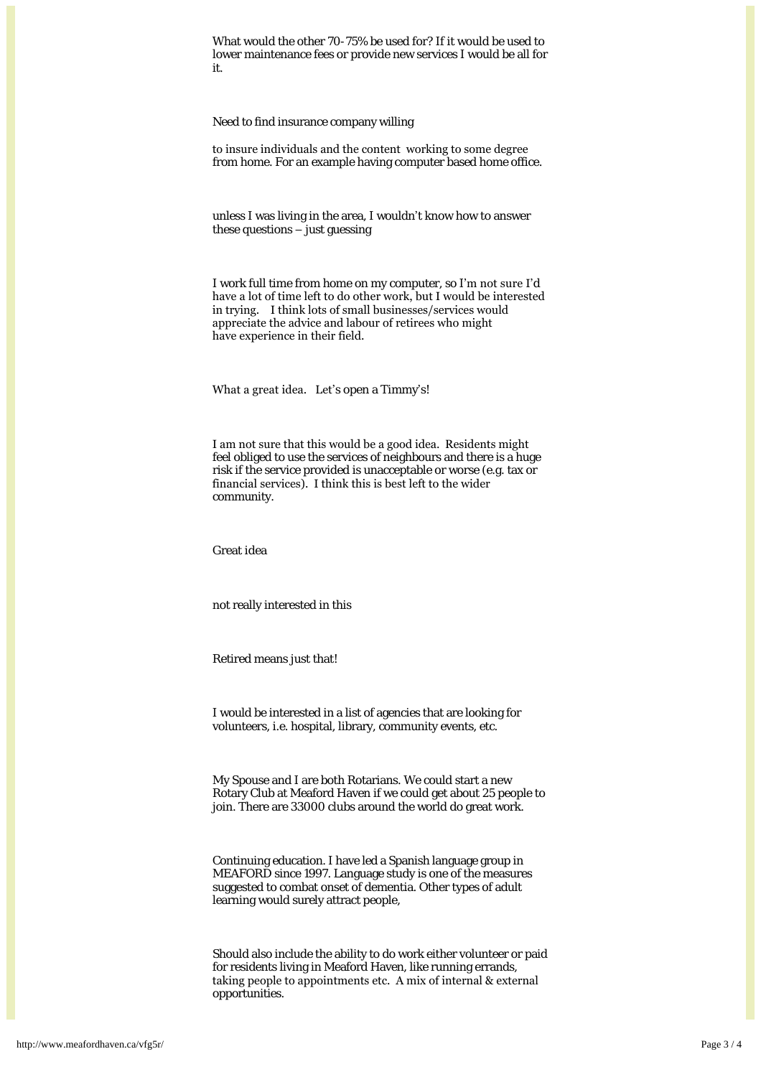What would the other 70-75% be used for? If it would be used to lower maintenance fees or provide new services I would be all for it.

Need to find insurance company willing

to insure individuals and the content working to some degree from home. For an example having computer based home office.

unless I was living in the area, I wouldn't know how to answer these questions  $-\tilde{y}$  just guessing

I work full time from home on my computer, so I'm not sure I'd have a lot of time left to do other work, but I would be interested in trying. I think lots of small businesses/services would appreciate the advice and labour of retirees who might have experience in their field.

What a great idea. Let's open a Timmy's!

I am not sure that this would be a good idea. Residents might feel obliged to use the services of neighbours and there is a huge risk if the service provided is unacceptable or worse (e.g. tax or financial services). I think this is best left to the wider community.

Great idea

not really interested in this

Retired means just that!

I would be interested in a list of agencies that are looking for volunteers, i.e. hospital, library, community events, etc.

My Spouse and I are both Rotarians. We could start a new Rotary Club at Meaford Haven if we could get about 25 people to join. There are 33000 clubs around the world do great work.

Continuing education. I have led a Spanish language group in MEAFORD since 1997. Language study is one of the measures suggested to combat onset of dementia. Other types of adult learning would surely attract people,

Should also include the ability to do work either volunteer or paid for residents living in Meaford Haven, like running errands, taking people to appointments etc. A mix of internal & external opportunities.